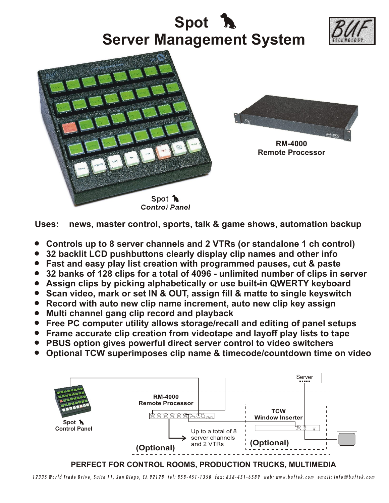



- ! **Controls up to 8 server channels and 2 VTRs (or standalone 1 ch control)**
- ! **32 backlit LCD pushbuttons clearly display clip names and other info**
- ! **Fast and easy play list creation with programmed pauses, cut & paste**
- ! **32 banks of 128 clips for a total of 4096 unlimited number of clips in server**
- ! **Assign clips by picking alphabetically or use built-in QWERTY keyboard**
- ! **Scan video, mark or set IN & OUT, assign fill & matte to single keyswitch**
- ! **Record with auto new clip name increment, auto new clip key assign**
- ! **Multi channel gang clip record and playback**
- ! **Free PC computer utility allows storage/recall and editing of panel setups**
- ! **Frame accurate clip creation from videotape and layoff play lists to tape**
- ! **PBUS option gives powerful direct server control to video switchers**
- ! **Optional TCW superimposes clip name & timecode/countdown time on video**